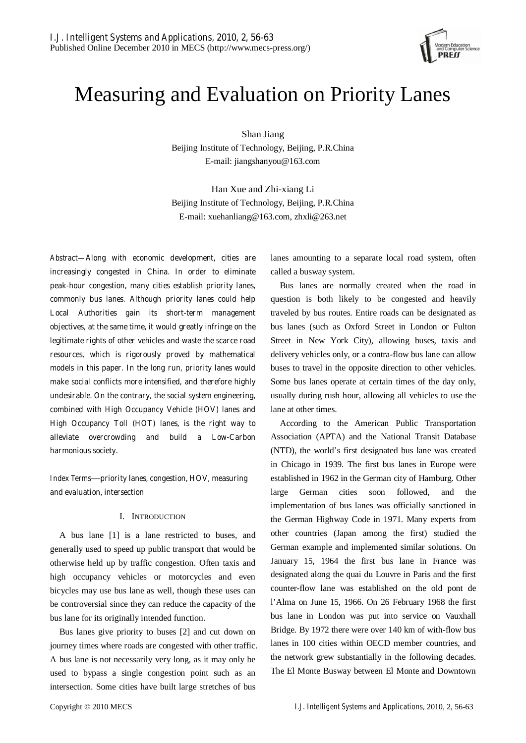

# Measuring and Evaluation on Priority Lanes

Shan Jiang Beijing Institute of Technology, Beijing, P.R.China E-mail: jiangshanyou@163.com

Han Xue and Zhi-xiang Li Beijing Institute of Technology, Beijing, P.R.China E-mail: xuehanliang@163.com, zhxli@263.net

*Abstract***—Along with economic development, cities are increasingly congested in China. In order to eliminate peak-hour congestion, many cities establish priority lanes, commonly bus lanes. Although priority lanes could help Local Authorities gain its short-term management objectives, at the same time, it would greatly infringe on the legitimate rights of other vehicles and waste the scarce road resources, which is rigorously proved by mathematical models in this paper. In the long run, priority lanes would make social conflicts more intensified, and therefore highly undesirable. On the contrary, the social system engineering, combined with High Occupancy Vehicle (HOV) lanes and High Occupancy Toll (HOT) lanes, is the right way to alleviate overcrowding and build a Low-Carbon harmonious society.** 

*Index Terms*—**priority lanes, congestion, HOV, measuring and evaluation, intersection** 

## I. INTRODUCTION

A bus lane [1] is a lane restricted to buses, and generally used to speed up public transport that would be otherwise held up by traffic congestion. Often taxis and high occupancy vehicles or motorcycles and even bicycles may use bus lane as well, though these uses can be controversial since they can reduce the capacity of the bus lane for its originally intended function.

Bus lanes give priority to buses [2] and cut down on journey times where roads are congested with other traffic. A bus lane is not necessarily very long, as it may only be used to bypass a single congestion point such as an intersection. Some cities have built large stretches of bus

lanes amounting to a separate local road system, often called a busway system.

Bus lanes are normally created when the road in question is both likely to be congested and heavily traveled by bus routes. Entire roads can be designated as bus lanes (such as Oxford Street in London or Fulton Street in New York City), allowing buses, taxis and delivery vehicles only, or a contra-flow bus lane can allow buses to travel in the opposite direction to other vehicles. Some bus lanes operate at certain times of the day only, usually during rush hour, allowing all vehicles to use the lane at other times.

According to the American Public Transportation Association (APTA) and the National Transit Database (NTD), the world's first designated bus lane was created in Chicago in 1939. The first bus lanes in Europe were established in 1962 in the German city of Hamburg. Other large German cities soon followed, and the implementation of bus lanes was officially sanctioned in the German Highway Code in 1971. Many experts from other countries (Japan among the first) studied the German example and implemented similar solutions. On January 15, 1964 the first bus lane in France was designated along the quai du Louvre in Paris and the first counter-flow lane was established on the old pont de l'Alma on June 15, 1966. On 26 February 1968 the first bus lane in London was put into service on Vauxhall Bridge. By 1972 there were over 140 km of with-flow bus lanes in 100 cities within OECD member countries, and the network grew substantially in the following decades. The El Monte Busway between El Monte and Downtown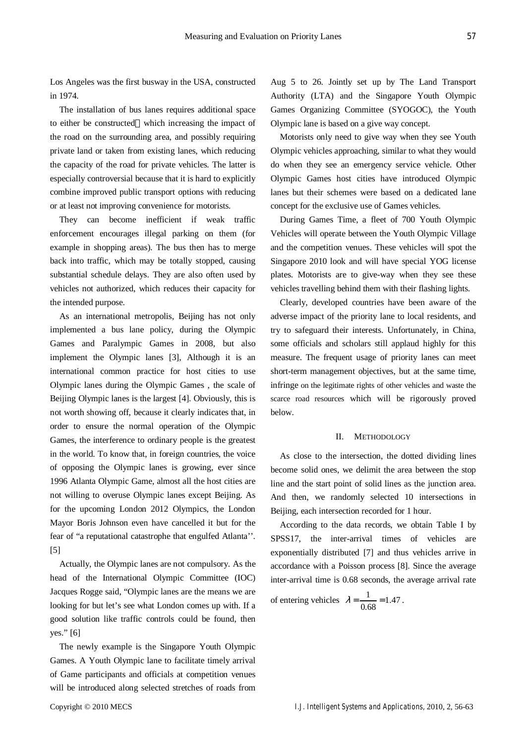Los Angeles was the first busway in the USA, constructed in 1974.

The installation of bus lanes requires additional space to either be constructed which increasing the impact of the road on the surrounding area, and possibly requiring private land or taken from existing lanes, which reducing the capacity of the road for private vehicles. The latter is especially controversial because that it is hard to explicitly combine improved public transport options with reducing or at least not improving convenience for motorists.

They can become inefficient if weak traffic enforcement encourages illegal parking on them (for example in shopping areas). The bus then has to merge back into traffic, which may be totally stopped, causing substantial schedule delays. They are also often used by vehicles not authorized, which reduces their capacity for the intended purpose.

As an international metropolis, Beijing has not only implemented a bus lane policy, during the Olympic Games and Paralympic Games in 2008, but also implement the Olympic lanes [3], Although it is an international common practice for host cities to use Olympic lanes during the Olympic Games , the scale of Beijing Olympic lanes is the largest [4]. Obviously, this is not worth showing off, because it clearly indicates that, in order to ensure the normal operation of the Olympic Games, the interference to ordinary people is the greatest in the world. To know that, in foreign countries, the voice of opposing the Olympic lanes is growing, ever since 1996 Atlanta Olympic Game, almost all the host cities are not willing to overuse Olympic lanes except Beijing. As for the upcoming London 2012 Olympics, the London Mayor Boris Johnson even have cancelled it but for the fear of "a reputational catastrophe that engulfed Atlanta''. [5]

Actually, the Olympic lanes are not compulsory. As the head of the International Olympic Committee (IOC) Jacques Rogge said, "Olympic lanes are the means we are looking for but let's see what London comes up with. If a good solution like traffic controls could be found, then yes." [6]

The newly example is the Singapore Youth Olympic Games. A Youth Olympic lane to facilitate timely arrival of Game participants and officials at competition venues will be introduced along selected stretches of roads from Aug 5 to 26. Jointly set up by The Land Transport Authority (LTA) and the Singapore Youth Olympic Games Organizing Committee (SYOGOC), the Youth Olympic lane is based on a give way concept.

Motorists only need to give way when they see Youth Olympic vehicles approaching, similar to what they would do when they see an emergency service vehicle. Other Olympic Games host cities have introduced Olympic lanes but their schemes were based on a dedicated lane concept for the exclusive use of Games vehicles.

During Games Time, a fleet of 700 Youth Olympic Vehicles will operate between the Youth Olympic Village and the competition venues. These vehicles will spot the Singapore 2010 look and will have special YOG license plates. Motorists are to give-way when they see these vehicles travelling behind them with their flashing lights.

Clearly, developed countries have been aware of the adverse impact of the priority lane to local residents, and try to safeguard their interests. Unfortunately, in China, some officials and scholars still applaud highly for this measure. The frequent usage of priority lanes can meet short-term management objectives, but at the same time, infringe on the legitimate rights of other vehicles and waste the scarce road resources which will be rigorously proved below.

### II. METHODOLOGY

As close to the intersection, the dotted dividing lines become solid ones, we delimit the area between the stop line and the start point of solid lines as the junction area. And then, we randomly selected 10 intersections in Beijing, each intersection recorded for 1 hour.

According to the data records, we obtain Table I by SPSS17, the inter-arrival times of vehicles are exponentially distributed [7] and thus vehicles arrive in accordance with a Poisson process [8]. Since the average inter-arrival time is 0.68 seconds, the average arrival rate

of entering vehicles 
$$
\lambda = \frac{1}{0.68} = 1.47
$$
.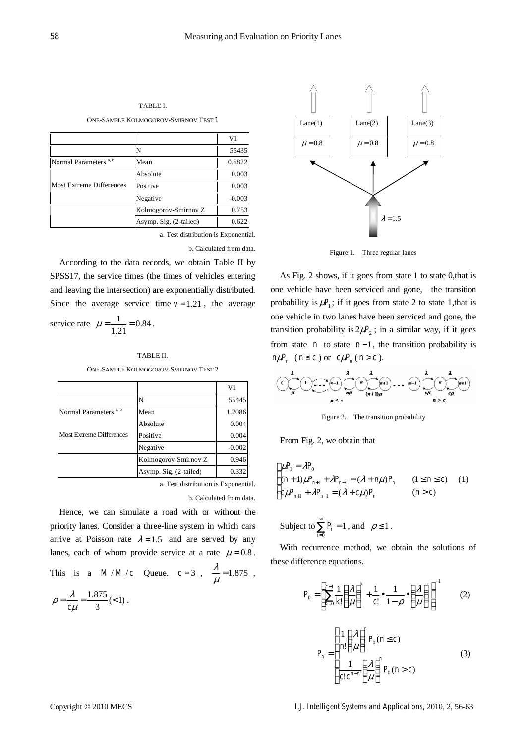V1

N 55435

Absolute 0.003

Negative  $-0.003$ Kolmogorov-Smirnov Z  $\Big|$  0.753 Asymp. Sig.  $(2$ -tailed)  $0.622$ 

a. Test distribution is Exponential.

b. Calculated from data.

Since the average service time  $v = 1.21$ , the average

service rate 
$$
\mu = \frac{1}{1.21} = 0.84
$$
.

#### TABLE II.

According to the data records, we obtain Table II by SPSS17, the service times (the times of vehicles entering and leaving the intersection) are exponentially distributed.

ONE-SAMPLE KOLMOGOROV-SMIRNOV TEST 2

|                                   |                        | V1       |
|-----------------------------------|------------------------|----------|
|                                   | N                      | 55445    |
| Normal Parameters <sup>a, b</sup> | Mean                   | 1.2086   |
| <b>Most Extreme Differences</b>   | Absolute               | 0.004    |
|                                   | Positive               | 0.004    |
|                                   | Negative               | $-0.002$ |
|                                   | Kolmogorov-Smirnov Z   | 0.946    |
|                                   | Asymp. Sig. (2-tailed) | 0.332    |

a. Test distribution is Exponential.

b. Calculated from data.

Hence, we can simulate a road with or without the priority lanes. Consider a three-line system in which cars arrive at Poisson rate  $\lambda = 1.5$  and are served by any lanes, each of whom provide service at a rate  $\mu = 0.8$ .

This is a  $M/M/c$  Queue.  $c=3$ ,  $\frac{\lambda}{\mu} = 1.875$ ,  $=\frac{\lambda}{c\mu}=\frac{1.875}{3}(<1)$ λ  $\rho = \frac{\pi}{c\mu} = \frac{1.675}{3} (< 1)$ .



Figure 1. Three regular lanes

As Fig. 2 shows, if it goes from state 1 to state 0, that is one vehicle have been serviced and gone, the transition probability is  $\mu P_1$ ; if it goes from state 2 to state 1, that is one vehicle in two lanes have been serviced and gone, the transition probability is  $2\mu P_2$ ; in a similar way, if it goes from state *n* to state  $n-1$ , the transition probability is  $n\mu P_n$   $(n \leq c)$  or  $c\mu P_n$   $(n > c)$ .



Figure 2. The transition probability

From Fig. 2, we obtain that

$$
\begin{cases}\n\mu P_1 = \lambda P_0 \\
(n+1)\mu P_{n+1} + \lambda P_{n-1} = (\lambda + n\mu)P_n \\
c\mu P_{n+1} + \lambda P_{n-1} = (\lambda + c\mu)P_n\n\end{cases} \quad (1 \le n \le c) \quad (1)
$$

Subject to  $\sum^{\infty}$ = = 0 1  $\sum_{i=0} P_i = 1$ , and  $\rho \le 1$ .

With recurrence method, we obtain the solutions of these difference equations.

$$
P_0 = \left[\sum_{k=0}^{c-1} \frac{1}{k!} \left(\frac{\lambda}{\mu}\right)^k + \frac{1}{c!} \cdot \frac{1}{1-\rho} \cdot \left(\frac{\lambda}{\mu}\right)^c\right]^{-1} \tag{2}
$$

$$
P_n = \begin{cases} \frac{1}{n!} \left(\frac{\lambda}{\mu}\right)^n P_0(n \le c) \\ \frac{1}{c!c^{n-c}} \left(\frac{\lambda}{\mu}\right)^n P_0(n > c) \end{cases}
$$
(3)

TABLE I. ONE-SAMPLE KOLMOGOROV-SMIRNOV TEST **1**

Normal Parameters <sup>a, b</sup> Mean 0.6822

Most Extreme Differences Positive 1 0.003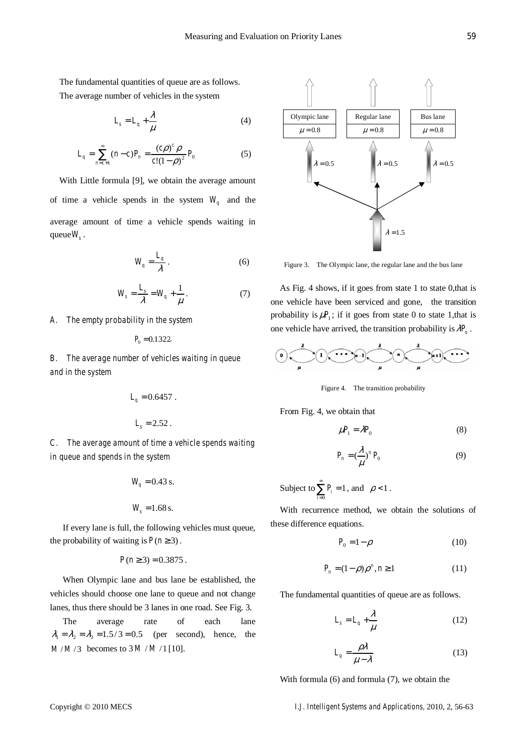The fundamental quantities of queue are as follows. The average number of vehicles in the system

$$
L_s = L_q + \frac{\lambda}{\mu} \tag{4}
$$

$$
L_q = \sum_{n=c+1}^{\infty} (n-c)P_n = \frac{(c\rho)^c \rho}{c!(1-\rho)^2} P_0
$$
 (5)

With Little formula [9], we obtain the average amount of time a vehicle spends in the system  $W_q$  and the average amount of time a vehicle spends waiting in queue  $W_s$ .

$$
W_q = \frac{L_q}{\lambda} \,. \tag{6}
$$

$$
W_s = \frac{L_s}{\lambda} = W_q + \frac{1}{\mu}.
$$
 (7)

*A. The empty probability in the system* 

$$
P_0 = 0.1322.
$$

*B. The average number of vehicles waiting in queue and in the system* 

$$
L_q = 0.6457.
$$
  

$$
L_s = 2.52.
$$

*C. The average amount of time a vehicle spends waiting in queue and spends in the system* 

$$
W_q = 0.43
$$
 s.

$$
W_s = 1.68 \,\mathrm{s}.
$$

If every lane is full, the following vehicles must queue, the probability of waiting is  $P(n \geq 3)$ .

$$
P(n \ge 3) = 0.3875.
$$

When Olympic lane and bus lane be established, the vehicles should choose one lane to queue and not change lanes, thus there should be 3 lanes in one road. See Fig. 3.

The average rate of each lane  $\lambda_1 = \lambda_2 = \lambda_3 = 1.5/3 = 0.5$  (per second), hence, the  $M/M/3$  becomes to  $3 M/M/1$  [10].



Figure 3. The Olympic lane, the regular lane and the bus lane

As Fig. 4 shows, if it goes from state 1 to state 0,that is one vehicle have been serviced and gone, the transition probability is  $\mu P_1$ ; if it goes from state 0 to state 1, that is one vehicle have arrived, the transition probability is  $\lambda P_a$ .



Figure 4. The transition probability

From Fig. 4, we obtain that

$$
\mu_1 = \lambda P_0 \tag{8}
$$

$$
P_n = \left(\frac{\lambda}{\mu}\right)^n P_0 \tag{9}
$$

Subject to 
$$
\sum_{i=0}^{\infty} P_i = 1
$$
, and  $\rho < 1$ .

With recurrence method, we obtain the solutions of these difference equations.

$$
P_0 = 1 - \rho \tag{10}
$$

$$
P_n = (1 - \rho)\rho^n, n \ge 1 \tag{11}
$$

The fundamental quantities of queue are as follows.

$$
L_s = L_q + \frac{\lambda}{\mu} \tag{12}
$$

$$
L_q = \frac{\rho \lambda}{\mu - \lambda} \tag{13}
$$

With formula (6) and formula (7), we obtain the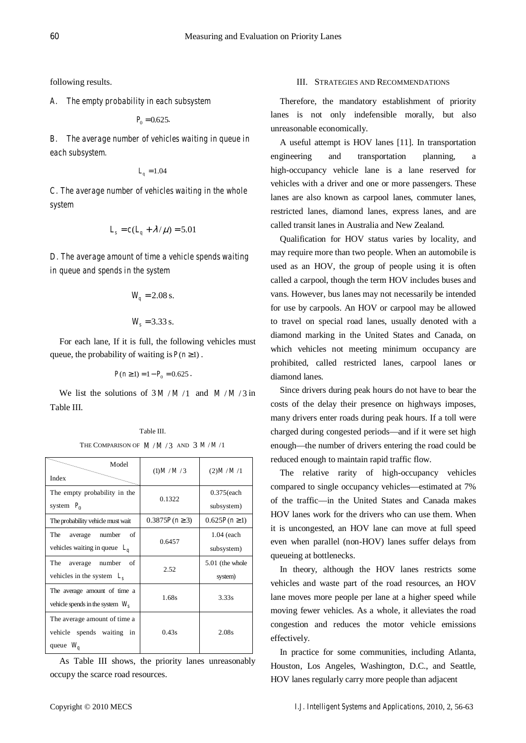following results.

*A. The empty probability in each subsystem* 

 $P_0 = 0.625.$ 

*B. The average number of vehicles waiting in queue in each subsystem.* 

$$
L_q = 1.04
$$

*C. The average number of vehicles waiting in the whole system* 

$$
L_s = c(L_q + \lambda/\mu) = 5.01
$$

*D. The average amount of time a vehicle spends waiting in queue and spends in the system* 

$$
W_q = 2.08 \text{ s.}
$$

$$
W_s = 3.33
$$
 s.

For each lane, If it is full, the following vehicles must queue, the probability of waiting is  $P(n \ge 1)$ .

$$
P(n\geq 1)=1-P_0=0.625.
$$

We list the solutions of  $3M/M/1$  and  $M/M/3$  in Table III.

> Table III. THE COMPARISON OF  $M/M/3$  AND  $3 M/M/1$

 Model Index  $(1)M/M/3$  (2)*M/M/*1 The empty probability in the system  $P_0$ 0.1322 0.375(each subsystem) The probability vehicle must wait  $\begin{vmatrix} 0.3875P(n \ge 3) & 0.625P(n \ge 1) \end{vmatrix}$ The average number of vehicles waiting in queue *Lq* 0.6457 1.04 (each subsystem) The average number of vehicles in the system *Ls* 2.52 5.01 (the whole system) The average amount of time a vehicle spends in the system  $W<sub>s</sub>$ 1.68s 3.33s The average amount of time a vehicle spends waiting in queue *Wq* 0.43s 2.08s

As Table III shows, the priority lanes unreasonably occupy the scarce road resources.

## III. STRATEGIES AND RECOMMENDATIONS

Therefore, the mandatory establishment of priority lanes is not only indefensible morally, but also unreasonable economically.

A useful attempt is HOV lanes [11]. In transportation engineering and transportation planning, a high-occupancy vehicle lane is a lane reserved for vehicles with a driver and one or more passengers. These lanes are also known as carpool lanes, commuter lanes, restricted lanes, diamond lanes, express lanes, and are called transit lanes in Australia and New Zealand.

Qualification for HOV status varies by locality, and may require more than two people. When an automobile is used as an HOV, the group of people using it is often called a carpool, though the term HOV includes buses and vans. However, bus lanes may not necessarily be intended for use by carpools. An HOV or carpool may be allowed to travel on special road lanes, usually denoted with a diamond marking in the United States and Canada, on which vehicles not meeting minimum occupancy are prohibited, called restricted lanes, carpool lanes or diamond lanes.

Since drivers during peak hours do not have to bear the costs of the delay their presence on highways imposes, many drivers enter roads during peak hours. If a toll were charged during congested periods—and if it were set high enough—the number of drivers entering the road could be reduced enough to maintain rapid traffic flow.

The relative rarity of high-occupancy vehicles compared to single occupancy vehicles—estimated at 7% of the traffic—in the United States and Canada makes HOV lanes work for the drivers who can use them. When it is uncongested, an HOV lane can move at full speed even when parallel (non-HOV) lanes suffer delays from queueing at bottlenecks.

In theory, although the HOV lanes restricts some vehicles and waste part of the road resources, an HOV lane moves more people per lane at a higher speed while moving fewer vehicles. As a whole, it alleviates the road congestion and reduces the motor vehicle emissions effectively.

In practice for some communities, including Atlanta, Houston, Los Angeles, Washington, D.C., and Seattle, HOV lanes regularly carry more people than adjacent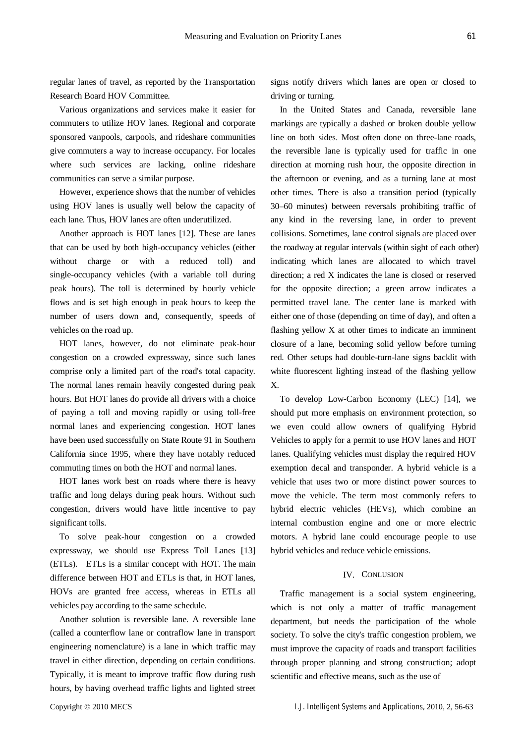regular lanes of travel, as reported by the Transportation Research Board HOV Committee.

Various organizations and services make it easier for commuters to utilize HOV lanes. Regional and corporate sponsored vanpools, carpools, and rideshare communities give commuters a way to increase occupancy. For locales where such services are lacking, online rideshare communities can serve a similar purpose.

However, experience shows that the number of vehicles using HOV lanes is usually well below the capacity of each lane. Thus, HOV lanes are often underutilized.

Another approach is HOT lanes [12]. These are lanes that can be used by both high-occupancy vehicles (either without charge or with a reduced toll) and single-occupancy vehicles (with a variable toll during peak hours). The toll is determined by hourly vehicle flows and is set high enough in peak hours to keep the number of users down and, consequently, speeds of vehicles on the road up.

HOT lanes, however, do not eliminate peak-hour congestion on a crowded expressway, since such lanes comprise only a limited part of the road's total capacity. The normal lanes remain heavily congested during peak hours. But HOT lanes do provide all drivers with a choice of paying a toll and moving rapidly or using toll-free normal lanes and experiencing congestion. HOT lanes have been used successfully on State Route 91 in Southern California since 1995, where they have notably reduced commuting times on both the HOT and normal lanes.

HOT lanes work best on roads where there is heavy traffic and long delays during peak hours. Without such congestion, drivers would have little incentive to pay significant tolls.

To solve peak-hour congestion on a crowded expressway, we should use Express Toll Lanes [13] (ETLs). ETLs is a similar concept with HOT. The main difference between HOT and ETLs is that, in HOT lanes, HOVs are granted free access, whereas in ETLs all vehicles pay according to the same schedule.

Another solution is reversible lane. A reversible lane (called a counterflow lane or contraflow lane in transport engineering nomenclature) is a lane in which traffic may travel in either direction, depending on certain conditions. Typically, it is meant to improve traffic flow during rush hours, by having overhead traffic lights and lighted street

signs notify drivers which lanes are open or closed to driving or turning.

In the United States and Canada, reversible lane markings are typically a dashed or broken double yellow line on both sides. Most often done on three-lane roads, the reversible lane is typically used for traffic in one direction at morning rush hour, the opposite direction in the afternoon or evening, and as a turning lane at most other times. There is also a transition period (typically 30–60 minutes) between reversals prohibiting traffic of any kind in the reversing lane, in order to prevent collisions. Sometimes, lane control signals are placed over the roadway at regular intervals (within sight of each other) indicating which lanes are allocated to which travel direction; a red X indicates the lane is closed or reserved for the opposite direction; a green arrow indicates a permitted travel lane. The center lane is marked with either one of those (depending on time of day), and often a flashing yellow X at other times to indicate an imminent closure of a lane, becoming solid yellow before turning red. Other setups had double-turn-lane signs backlit with white fluorescent lighting instead of the flashing yellow X.

To develop Low-Carbon Economy (LEC) [14], we should put more emphasis on environment protection, so we even could allow owners of qualifying Hybrid Vehicles to apply for a permit to use HOV lanes and HOT lanes. Qualifying vehicles must display the required HOV exemption decal and transponder. A hybrid vehicle is a vehicle that uses two or more distinct power sources to move the vehicle. The term most commonly refers to hybrid electric vehicles (HEVs), which combine an internal combustion engine and one or more electric motors. A hybrid lane could encourage people to use hybrid vehicles and reduce vehicle emissions.

## IV. CONLUSION

Traffic management is a social system engineering, which is not only a matter of traffic management department, but needs the participation of the whole society. To solve the city's traffic congestion problem, we must improve the capacity of roads and transport facilities through proper planning and strong construction; adopt scientific and effective means, such as the use of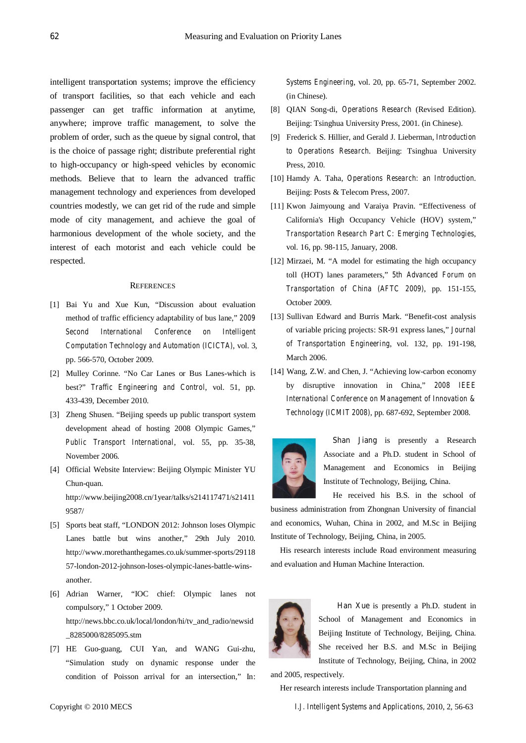intelligent transportation systems; improve the efficiency of transport facilities, so that each vehicle and each passenger can get traffic information at anytime, anywhere; improve traffic management, to solve the problem of order, such as the queue by signal control, that is the choice of passage right; distribute preferential right to high-occupancy or high-speed vehicles by economic methods. Believe that to learn the advanced traffic management technology and experiences from developed countries modestly, we can get rid of the rude and simple mode of city management, and achieve the goal of harmonious development of the whole society, and the interest of each motorist and each vehicle could be respected.

## **REFERENCES**

- [1] Bai Yu and Xue Kun, "Discussion about evaluation method of traffic efficiency adaptability of bus lane," *2009 Second International Conference on Intelligent Computation Technology and Automation (ICICTA)*, vol. 3, pp. 566-570, October 2009.
- [2] Mulley Corinne. "No Car Lanes or Bus Lanes-which is best?" *Traffic Engineering and Control*, vol. 51, pp. 433-439, December 2010.
- [3] Zheng Shusen. "Beijing speeds up public transport system development ahead of hosting 2008 Olympic Games," *Public Transport International*, vol. 55, pp. 35-38, November 2006.
- [4] Official Website Interview: Beijing Olympic Minister YU Chun-quan. http://www.beijing2008.cn/1year/talks/s214117471/s21411 9587/
- [5] Sports beat staff, "LONDON 2012: Johnson loses Olympic Lanes battle but wins another," 29th July 2010. http://www.morethanthegames.co.uk/summer-sports/29118 57-london-2012-johnson-loses-olympic-lanes-battle-winsanother.
- [6] Adrian Warner, "IOC chief: Olympic lanes not compulsory," 1 October 2009. http://news.bbc.co.uk/local/london/hi/tv\_and\_radio/newsid \_8285000/8285095.stm
- [7] HE Guo-guang, CUI Yan, and WANG Gui-zhu, "Simulation study on dynamic response under the condition of Poisson arrival for an intersection," In:

*Systems Engineering*, vol. 20, pp. 65-71, September 2002. (in Chinese).

- [8] QIAN Song-di, *Operations Research* (Revised Edition). Beijing: Tsinghua University Press, 2001. (in Chinese).
- [9] Frederick S. Hillier, and Gerald J. Lieberman, *Introduction to Operations Research*. Beijing: Tsinghua University Press, 2010.
- [10] Hamdy A. Taha, *Operations Research: an Introduction*. Beijing: Posts & Telecom Press, 2007.
- [11] Kwon Jaimyoung and Varaiya Pravin. "Effectiveness of California's High Occupancy Vehicle (HOV) system," *Transportation Research Part C: Emerging Technologies*, vol. 16, pp. 98-115, January, 2008.
- [12] Mirzaei, M. "A model for estimating the high occupancy toll (HOT) lanes parameters," *5th Advanced Forum on Transportation of China (AFTC 2009)*, pp. 151-155, October 2009.
- [13] Sullivan Edward and Burris Mark. "Benefit-cost analysis of variable pricing projects: SR-91 express lanes," *Journal of Transportation Engineering*, vol. 132, pp. 191-198, March 2006.
- [14] Wang, Z.W. and Chen, J. "Achieving low-carbon economy by disruptive innovation in China," *2008 IEEE International Conference on Management of Innovation & Technology (ICMIT 2008)*, pp. 687-692, September 2008.



**Shan Jiang** is presently a Research Associate and a Ph.D. student in School of Management and Economics in Beijing Institute of Technology, Beijing, China.

He received his B.S. in the school of business administration from Zhongnan University of financial and economics, Wuhan, China in 2002, and M.Sc in Beijing Institute of Technology, Beijing, China, in 2005.

His research interests include Road environment measuring and evaluation and Human Machine Interaction.



**Han Xue** is presently a Ph.D. student in School of Management and Economics in Beijing Institute of Technology, Beijing, China. She received her B.S. and M.Sc in Beijing Institute of Technology, Beijing, China, in 2002

and 2005, respectively.

Her research interests include Transportation planning and